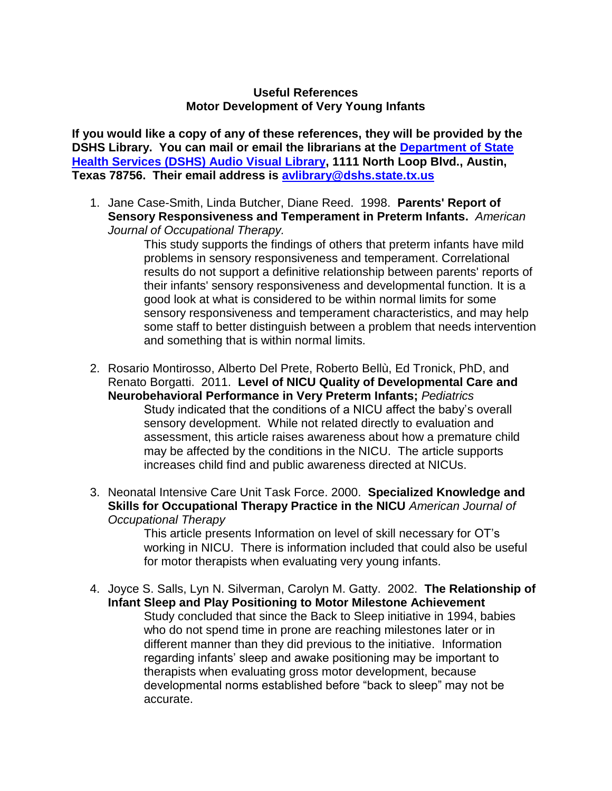## **Useful References Motor Development of Very Young Infants**

**If you would like a copy of any of these references, they will be provided by the DSHS Library. You can mail or email the librarians at the [Department of State](http://www.dshs.state.tx.us/avlib/ecirehab.shtm)  [Health Services \(DSHS\) Audio Visual Library,](http://www.dshs.state.tx.us/avlib/ecirehab.shtm) 1111 North Loop Blvd., Austin, Texas 78756. Their email address is [avlibrary@dshs.state.tx.us](mailto:avlibrary@dshs.state.tx.us)** 

1. Jane Case-Smith, Linda Butcher, Diane Reed. 1998. **Parents' Report of Sensory Responsiveness and Temperament in Preterm Infants.** *American Journal of Occupational Therapy.* 

This study supports the findings of others that preterm infants have mild problems in sensory responsiveness and temperament. Correlational results do not support a definitive relationship between parents' reports of their infants' sensory responsiveness and developmental function*.* It is a good look at what is considered to be within normal limits for some sensory responsiveness and temperament characteristics, and may help some staff to better distinguish between a problem that needs intervention and something that is within normal limits.

- 2. Rosario Montirosso, Alberto Del Prete, Roberto Bellù, Ed Tronick, PhD, and Renato Borgatti. 2011. **Level of NICU Quality of Developmental Care and Neurobehavioral Performance in Very Preterm Infants;** *Pediatrics* Study indicated that the conditions of a NICU affect the baby's overall sensory development. While not related directly to evaluation and assessment, this article raises awareness about how a premature child may be affected by the conditions in the NICU. The article supports increases child find and public awareness directed at NICUs.
- 3. Neonatal Intensive Care Unit Task Force. 2000. **Specialized Knowledge and Skills for Occupational Therapy Practice in the NICU** *American Journal of Occupational Therapy*

This article presents Information on level of skill necessary for OT's working in NICU. There is information included that could also be useful for motor therapists when evaluating very young infants.

4. Joyce S. Salls, Lyn N. Silverman, Carolyn M. Gatty. 2002. **The Relationship of Infant Sleep and Play Positioning to Motor Milestone Achievement**  Study concluded that since the Back to Sleep initiative in 1994, babies who do not spend time in prone are reaching milestones later or in different manner than they did previous to the initiative. Information regarding infants' sleep and awake positioning may be important to therapists when evaluating gross motor development, because developmental norms established before "back to sleep" may not be accurate.